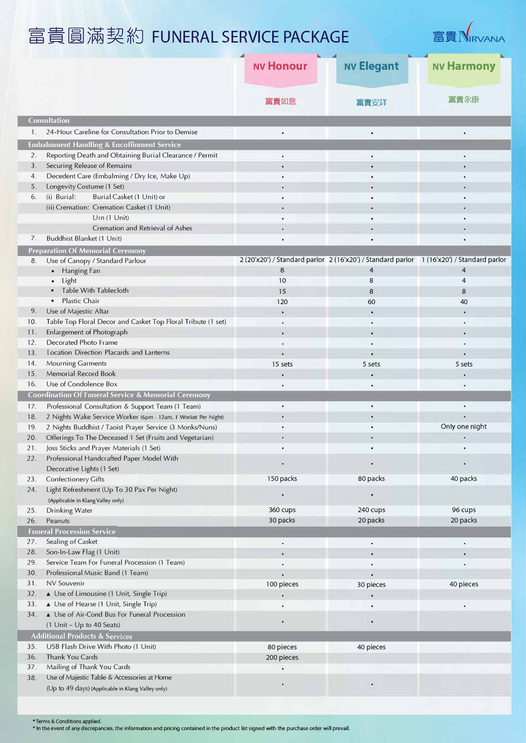富貴圓滿契約 FUNERAL SERVICE PACKAGE



|                                           |                                                                                                  | <b>NV Honour</b>                                                                               | <b>NV Elegant</b> | <b>NV Harmony</b> |  |  |
|-------------------------------------------|--------------------------------------------------------------------------------------------------|------------------------------------------------------------------------------------------------|-------------------|-------------------|--|--|
|                                           |                                                                                                  | 富貴如意                                                                                           | 富貴安詳              | 富貴永康              |  |  |
| <b>Consultation</b>                       |                                                                                                  |                                                                                                |                   |                   |  |  |
| 1.                                        | 24-Hour Careline for Consultation Prior to Demise                                                | ٠                                                                                              | ٠                 |                   |  |  |
|                                           | <b>Embalmment Handling &amp; Encoffinment Service</b>                                            |                                                                                                |                   |                   |  |  |
| 2.                                        | Reporting Death and Obtaining Burial Clearance / Permit                                          |                                                                                                |                   | ٠                 |  |  |
| 3.                                        | Securing Release of Remains                                                                      |                                                                                                |                   |                   |  |  |
| 4.                                        | Decedent Care (Embalming / Dry Ice, Make Up)                                                     |                                                                                                |                   |                   |  |  |
| 5.                                        | Longevity Costume (1 Set)                                                                        |                                                                                                |                   |                   |  |  |
| 6.                                        | (i) Burial:<br>Burial Casket (1 Unit) or                                                         |                                                                                                |                   |                   |  |  |
|                                           | (ii) Cremation: Cremation Casket (1 Unit)                                                        |                                                                                                |                   |                   |  |  |
|                                           | Urn (1 Unit)                                                                                     |                                                                                                | ۰                 |                   |  |  |
|                                           | Cremation and Retrieval of Ashes                                                                 |                                                                                                |                   |                   |  |  |
| 7.                                        | Buddhist Blanket (1 Unit)                                                                        |                                                                                                |                   |                   |  |  |
|                                           | <b>Preparation Of Memorial Ceremony</b>                                                          |                                                                                                |                   |                   |  |  |
| 8.                                        | Use of Canopy / Standard Parlour                                                                 | 2 (20'x20') / Standard parlor 2 (16'x20') / Standard parlor 1 (16'x20') / Standard parlor<br>8 | 4                 | 4                 |  |  |
|                                           | Hanging Fan<br>٠<br>Light                                                                        | 10                                                                                             | 8                 | 4                 |  |  |
|                                           | Table With Tablecloth                                                                            | 15                                                                                             | 8                 | 8                 |  |  |
|                                           | <b>Plastic Chair</b>                                                                             | 120                                                                                            | 60                | 40                |  |  |
| 9.                                        | Use of Majestic Altar                                                                            |                                                                                                | ×                 | ٠                 |  |  |
| 10.                                       | Table Top Floral Decor and Casket Top Floral Tribute (1 set)                                     |                                                                                                |                   | ٠                 |  |  |
| 11.                                       | Enlargement of Photograph                                                                        |                                                                                                |                   |                   |  |  |
| 12.                                       | Decorated Photo Frame                                                                            |                                                                                                |                   |                   |  |  |
| 13.                                       | Location Direction Placards and Lanterns                                                         |                                                                                                | ٠                 |                   |  |  |
| 14.                                       | Mourning Garments                                                                                | 15 sets                                                                                        | 5 sets            | 5 sets            |  |  |
| 15.                                       | Memorial Record Book                                                                             |                                                                                                |                   |                   |  |  |
| 16.                                       | Use of Condolence Box                                                                            |                                                                                                |                   |                   |  |  |
|                                           | <b>Coordination Of Funeral Service &amp; Memorial Ceremony</b>                                   |                                                                                                |                   |                   |  |  |
| 17.                                       | Professional Consultation & Support Team (1 Team)                                                |                                                                                                | ۰                 |                   |  |  |
| 18.                                       | 2 Nights Wake Service Worker (6pm - 12am, 1 Worker Per Night)                                    |                                                                                                | ٠                 |                   |  |  |
| 19.                                       | 2 Nights Buddhist / Taoist Prayer Service (3 Monks/Nuns)                                         |                                                                                                |                   | Only one night    |  |  |
| 20.                                       | Offerings To The Deceased 1 Set (Fruits and Vegetarian)                                          |                                                                                                |                   |                   |  |  |
|                                           | 21. Joss Sticks and Prayer Materials (1 Set)                                                     |                                                                                                |                   |                   |  |  |
| 22.                                       | Professional Handcrafted Paper Model With<br>Decorative Lights (1 Set)                           |                                                                                                |                   |                   |  |  |
| 23.                                       | Confectionery Gifts                                                                              | 150 packs                                                                                      | 80 packs          | 40 packs          |  |  |
| 24.                                       | Light Refreshment (Up To 30 Pax Per Night)<br>(Applicable in Klang Valley only)                  |                                                                                                |                   |                   |  |  |
| 25.                                       | Drinking Water                                                                                   | 360 cups                                                                                       | 240 cups          | 96 cups           |  |  |
| 26.                                       | Peanuts                                                                                          | 30 packs                                                                                       | 20 packs          | 20 packs          |  |  |
|                                           | <b>Funeral Procession Service</b>                                                                |                                                                                                |                   |                   |  |  |
| 27.                                       | Sealing of Casket                                                                                |                                                                                                | ٠                 | $\bullet$         |  |  |
| 28.                                       | Son-In-Law Flag (1 Unit)                                                                         |                                                                                                | ٠                 |                   |  |  |
| 29.                                       | Service Team For Funeral Procession (1 Team)                                                     |                                                                                                |                   | ٠                 |  |  |
| 30.                                       | Professional Music Band (1 Team)                                                                 |                                                                                                | $\bullet$         |                   |  |  |
| 31.                                       | NV Souvenir                                                                                      | 100 pieces                                                                                     | 30 pieces         | 40 pieces         |  |  |
| 32.                                       | ▲ Use of Limousine (1 Unit, Single Trip)                                                         |                                                                                                |                   |                   |  |  |
| 33.                                       | ▲ Use of Hearse (1 Unit, Single Trip)                                                            |                                                                                                | è                 |                   |  |  |
| 34.                                       | ▲ Use of Air-Cond Bus For Funeral Procession<br>(1 Unit - Up to 40 Seats)                        |                                                                                                |                   |                   |  |  |
| <b>Additional Products &amp; Services</b> |                                                                                                  |                                                                                                |                   |                   |  |  |
| 35.                                       | USB Flash Drive With Photo (1 Unit)                                                              | 80 pieces                                                                                      | 40 pieces         |                   |  |  |
| 36.                                       | Thank You Cards                                                                                  | 200 pieces                                                                                     |                   |                   |  |  |
| 37.                                       | Mailing of Thank You Cards                                                                       |                                                                                                |                   |                   |  |  |
| 38.                                       | Use of Majestic Table & Accessories at Home<br>(Up to 49 days) (Applicable in Klang Valley only) |                                                                                                | ٠                 |                   |  |  |
|                                           |                                                                                                  |                                                                                                |                   |                   |  |  |

•Terms & Conditions applied. \* In **the event** of **any discrepancies, the information and pricing contained in the product list signed with the purchase order** will **prevail.**